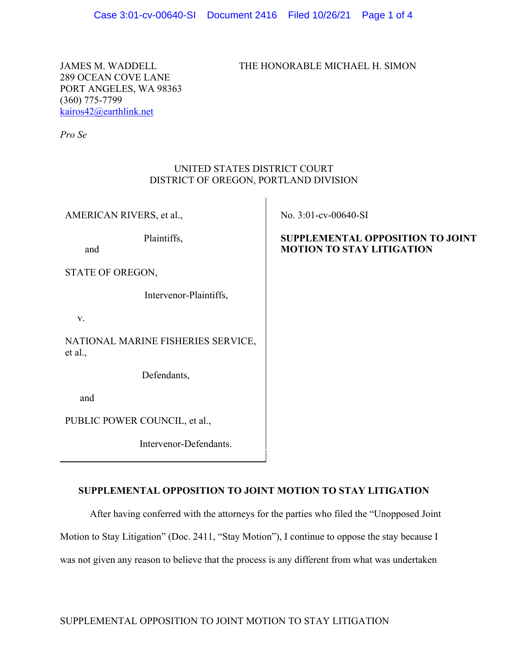JAMES M. WADDELL THE HONORABLE MICHAEL H. SIMON

289 OCEAN COVE LANE PORT ANGELES, WA 98363 (360) 775-7799 kairos42@earthlink.net

*Pro Se*

## UNITED STATES DISTRICT COURT DISTRICT OF OREGON, PORTLAND DIVISION

AMERICAN RIVERS, et al.,

Plaintiffs,

and

STATE OF OREGON,

Intervenor-Plaintiffs,

v.

NATIONAL MARINE FISHERIES SERVICE, et al.,

Defendants,

and

PUBLIC POWER COUNCIL, et al.,

Intervenor-Defendants.

No. 3:01-cv-00640-SI

## **SUPPLEMENTAL OPPOSITION TO JOINT MOTION TO STAY LITIGATION**

# **SUPPLEMENTAL OPPOSITION TO JOINT MOTION TO STAY LITIGATION**

After having conferred with the attorneys for the parties who filed the "Unopposed Joint Motion to Stay Litigation" (Doc. 2411, "Stay Motion"), I continue to oppose the stay because I was not given any reason to believe that the process is any different from what was undertaken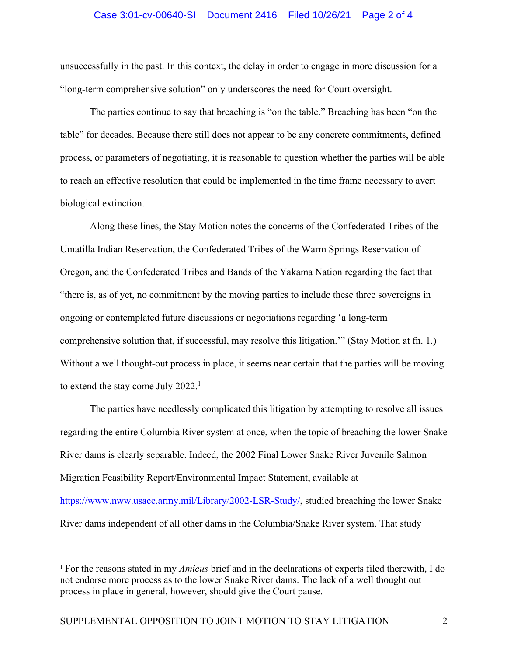#### Case 3:01-cv-00640-SI Document 2416 Filed 10/26/21 Page 2 of 4

unsuccessfully in the past. In this context, the delay in order to engage in more discussion for a "long-term comprehensive solution" only underscores the need for Court oversight.

The parties continue to say that breaching is "on the table." Breaching has been "on the table" for decades. Because there still does not appear to be any concrete commitments, defined process, or parameters of negotiating, it is reasonable to question whether the parties will be able to reach an effective resolution that could be implemented in the time frame necessary to avert biological extinction.

Along these lines, the Stay Motion notes the concerns of the Confederated Tribes of the Umatilla Indian Reservation, the Confederated Tribes of the Warm Springs Reservation of Oregon, and the Confederated Tribes and Bands of the Yakama Nation regarding the fact that "there is, as of yet, no commitment by the moving parties to include these three sovereigns in ongoing or contemplated future discussions or negotiations regarding 'a long-term comprehensive solution that, if successful, may resolve this litigation.'" (Stay Motion at fn. 1.) Without a well thought-out process in place, it seems near certain that the parties will be moving to extend the stay come July 2022.<sup>1</sup>

The parties have needlessly complicated this litigation by attempting to resolve all issues regarding the entire Columbia River system at once, when the topic of breaching the lower Snake River dams is clearly separable. Indeed, the 2002 Final Lower Snake River Juvenile Salmon Migration Feasibility Report/Environmental Impact Statement, available at https://www.nww.usace.army.mil/Library/2002-LSR-Study/, studied breaching the lower Snake River dams independent of all other dams in the Columbia/Snake River system. That study

<sup>1</sup> For the reasons stated in my *Amicus* brief and in the declarations of experts filed therewith, I do not endorse more process as to the lower Snake River dams. The lack of a well thought out process in place in general, however, should give the Court pause.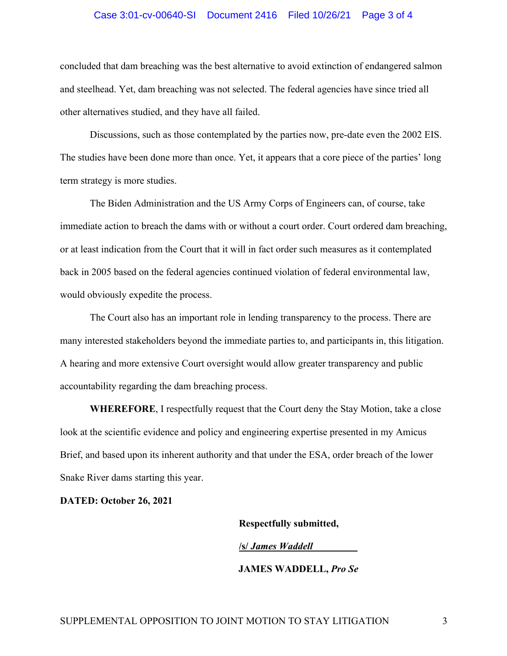#### Case 3:01-cv-00640-SI Document 2416 Filed 10/26/21 Page 3 of 4

concluded that dam breaching was the best alternative to avoid extinction of endangered salmon and steelhead. Yet, dam breaching was not selected. The federal agencies have since tried all other alternatives studied, and they have all failed.

Discussions, such as those contemplated by the parties now, pre-date even the 2002 EIS. The studies have been done more than once. Yet, it appears that a core piece of the parties' long term strategy is more studies.

The Biden Administration and the US Army Corps of Engineers can, of course, take immediate action to breach the dams with or without a court order. Court ordered dam breaching, or at least indication from the Court that it will in fact order such measures as it contemplated back in 2005 based on the federal agencies continued violation of federal environmental law, would obviously expedite the process.

The Court also has an important role in lending transparency to the process. There are many interested stakeholders beyond the immediate parties to, and participants in, this litigation. A hearing and more extensive Court oversight would allow greater transparency and public accountability regarding the dam breaching process.

**WHEREFORE**, I respectfully request that the Court deny the Stay Motion, take a close look at the scientific evidence and policy and engineering expertise presented in my Amicus Brief, and based upon its inherent authority and that under the ESA, order breach of the lower Snake River dams starting this year.

**DATED: October 26, 2021**

**Respectfully submitted, /s/** *James Waddell\_\_\_\_\_\_\_\_\_* **JAMES WADDELL,** *Pro Se*